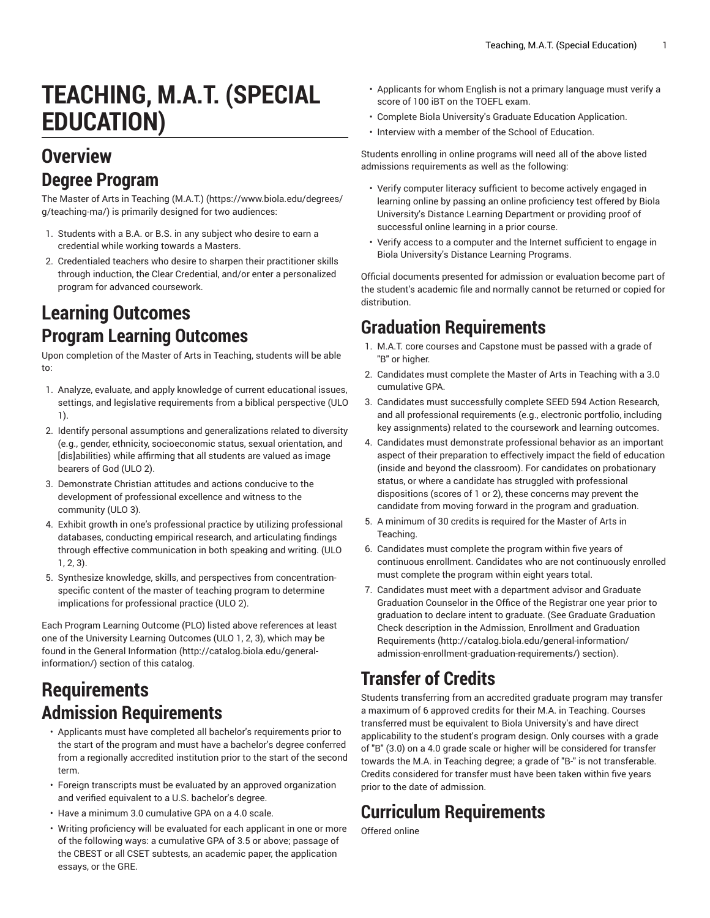# **TEACHING, M.A.T. (SPECIAL EDUCATION)**

#### **Overview Degree Program**

The Master of Arts in [Teaching](https://www.biola.edu/degrees/g/teaching-ma/) (M.A.T.) ([https://www.biola.edu/degrees/](https://www.biola.edu/degrees/g/teaching-ma/) [g/teaching-ma/](https://www.biola.edu/degrees/g/teaching-ma/)) is primarily designed for two audiences:

- 1. Students with a B.A. or B.S. in any subject who desire to earn a credential while working towards a Masters.
- 2. Credentialed teachers who desire to sharpen their practitioner skills through induction, the Clear Credential, and/or enter a personalized program for advanced coursework.

#### **Learning Outcomes Program Learning Outcomes**

Upon completion of the Master of Arts in Teaching, students will be able to:

- 1. Analyze, evaluate, and apply knowledge of current educational issues, settings, and legislative requirements from a biblical perspective (ULO 1).
- 2. Identify personal assumptions and generalizations related to diversity (e.g., gender, ethnicity, socioeconomic status, sexual orientation, and [dis]abilities) while affirming that all students are valued as image bearers of God (ULO 2).
- 3. Demonstrate Christian attitudes and actions conducive to the development of professional excellence and witness to the community (ULO 3).
- 4. Exhibit growth in one's professional practice by utilizing professional databases, conducting empirical research, and articulating findings through effective communication in both speaking and writing. (ULO 1, 2, 3).
- 5. Synthesize knowledge, skills, and perspectives from concentrationspecific content of the master of teaching program to determine implications for professional practice (ULO 2).

Each Program Learning Outcome (PLO) listed above references at least one of the University Learning Outcomes (ULO 1, 2, 3), which may be found in the [General Information \(http://catalog.biola.edu/general](http://catalog.biola.edu/general-information/)[information/](http://catalog.biola.edu/general-information/)) section of this catalog.

#### **Requirements Admission Requirements**

- Applicants must have completed all bachelor's requirements prior to the start of the program and must have a bachelor's degree conferred from a regionally accredited institution prior to the start of the second term.
- Foreign transcripts must be evaluated by an approved organization and verified equivalent to a U.S. bachelor's degree.
- Have a minimum 3.0 cumulative GPA on a 4.0 scale.
- Writing proficiency will be evaluated for each applicant in one or more of the following ways: a cumulative GPA of 3.5 or above; passage of the CBEST or all CSET subtests, an academic paper, the application essays, or the GRE.
- Applicants for whom English is not a primary language must verify a score of 100 iBT on the TOEFL exam.
- Complete Biola University's Graduate Education Application.
- Interview with a member of the School of Education.

Students enrolling in online programs will need all of the above listed admissions requirements as well as the following:

- Verify computer literacy sufficient to become actively engaged in learning online by passing an online proficiency test offered by Biola University's Distance Learning Department or providing proof of successful online learning in a prior course.
- Verify access to a computer and the Internet sufficient to engage in Biola University's Distance Learning Programs.

Official documents presented for admission or evaluation become part of the student's academic file and normally cannot be returned or copied for distribution.

### **Graduation Requirements**

- 1. M.A.T. core courses and Capstone must be passed with a grade of "B" or higher.
- 2. Candidates must complete the Master of Arts in Teaching with a 3.0 cumulative GPA.
- 3. Candidates must successfully complete SEED 594 Action Research, and all professional requirements (e.g., electronic portfolio, including key assignments) related to the coursework and learning outcomes.
- 4. Candidates must demonstrate professional behavior as an important aspect of their preparation to effectively impact the field of education (inside and beyond the classroom). For candidates on probationary status, or where a candidate has struggled with professional dispositions (scores of 1 or 2), these concerns may prevent the candidate from moving forward in the program and graduation.
- 5. A minimum of 30 credits is required for the Master of Arts in Teaching.
- 6. Candidates must complete the program within five years of continuous enrollment. Candidates who are not continuously enrolled must complete the program within eight years total.
- 7. Candidates must meet with a department advisor and Graduate Graduation Counselor in the Office of the Registrar one year prior to graduation to declare intent to graduate. (See Graduate Graduation Check description in the Admission, Enrollment and [Graduation](http://catalog.biola.edu/general-information/admission-enrollment-graduation-requirements/) [Requirements \(http://catalog.biola.edu/general-information/](http://catalog.biola.edu/general-information/admission-enrollment-graduation-requirements/) [admission-enrollment-graduation-requirements/\)](http://catalog.biola.edu/general-information/admission-enrollment-graduation-requirements/) section).

## **Transfer of Credits**

Students transferring from an accredited graduate program may transfer a maximum of 6 approved credits for their M.A. in Teaching. Courses transferred must be equivalent to Biola University's and have direct applicability to the student's program design. Only courses with a grade of "B" (3.0) on a 4.0 grade scale or higher will be considered for transfer towards the M.A. in Teaching degree; a grade of "B-" is not transferable. Credits considered for transfer must have been taken within five years prior to the date of admission.

# **Curriculum Requirements**

Offered online